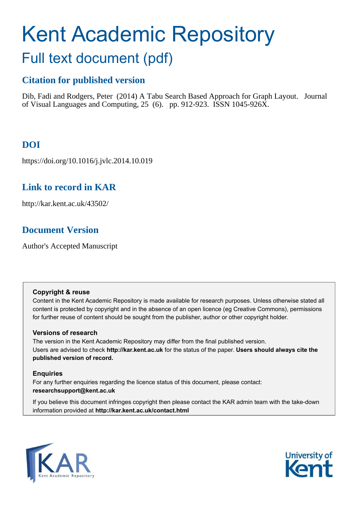# <span id="page-0-0"></span>Kent Academic Repository

# Full text document (pdf)

# **Citation for published version**

Dib, Fadi and Rodgers, Peter (2014) A Tabu Search Based Approach for Graph Layout. Journal of Visual Languages and Computing,  $25$  (6). pp. 912-923. ISSN 1045-926X.

# **DOI**

https://doi.org/10.1016/j.jvlc.2014.10.019

# **Link to record in KAR**

http://kar.kent.ac.uk/43502/

# **Document Version**

Author's Accepted Manuscript

## **Copyright & reuse**

Content in the Kent Academic Repository is made available for research purposes. Unless otherwise stated all content is protected by copyright and in the absence of an open licence (eg Creative Commons), permissions for further reuse of content should be sought from the publisher, author or other copyright holder.

## **Versions of research**

The version in the Kent Academic Repository may differ from the final published version. Users are advised to check **http://kar.kent.ac.uk** for the status of the paper. **Users should always cite the published version of record.**

## **Enquiries**

For any further enquiries regarding the licence status of this document, please contact: **researchsupport@kent.ac.uk**

If you believe this document infringes copyright then please contact the KAR admin team with the take-down information provided at **http://kar.kent.ac.uk/contact.html**



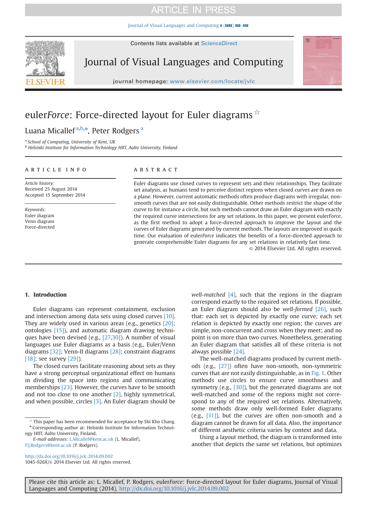[Journal of Visual Languages and Computing](http://dx.doi.org/10.1016/j.jvlc.2014.09.002)  $\parallel$  ( $\parallel$ III)  $\parallel$ III–III

Contents lists available at [ScienceDirect](www.sciencedirect.com/science/journal/1045926X)

<span id="page-1-0"></span>

Journal of Visual Languages and Computing

journal homepage: <www.elsevier.com/locate/jvlc>

# euler*Force*: Force-directed layout for Euler diagrams  $\hat{X}$

# Lu[a](#page-0-0)na Micallef<sup>a,[b,](#page-0-0)\*</sup>, Peter Rodgers <sup>a</sup>

a *School of Computing, University of Kent, UK*

<sup>b</sup> *Helsinki Institute for Information Technology HIIT, Aalto University, Finland*

#### article info

*Article history:* Received 25 August 2014 Accepted 15 September 2014

*Keywords:* Euler diagram Venn diagram Force-directed

#### **ABSTRACT**

Euler diagrams use closed curves to represent sets and their relationships. They facilitate set analysis, as humans tend to perceive distinct regions when closed curves are drawn on a plane. However, current automatic methods often produce diagrams with irregular, nonsmooth curves that are not easily distinguishable. Other methods restrict the shape of the curve to for instance a circle, but such methods cannot draw an Euler diagram with exactly the required curve intersections for any set relations. In this paper, we present euler*Force*, as the first method to adopt a force-directed approach to improve the layout and the curves of Euler diagrams generated by current methods. The layouts are improved in quick time. Our evaluation of euler*Force* indicates the benefits of a force-directed approach to generate comprehensible Euler diagrams for any set relations in relatively fast time.

 $©$  2014 Elsevier Ltd. All rights reserved.

#### 1. Introduction

Euler diagrams can represent containment, exclusion and intersection among data sets using closed curves [\[10\]](#page-10-0). They are widely used in various areas (e.g., genetics [\[20\]](#page-10-0); ontologies [\[15\]](#page-10-0)), and automatic diagram drawing techniques have been devised (e.g., [\[27](#page-10-0),[30\]](#page-10-0)). A number of visual languages use Euler diagrams as a basis (e.g., Euler/Venn diagrams [\[32\]](#page-10-0); Venn-II diagrams [\[28\];](#page-10-0) constraint diagrams [\[18\];](#page-10-0) see survey [\[29\]](#page-10-0)).

The closed curves facilitate reasoning about sets as they have a strong perceptual organizational effect on humans in dividing the space into regions and communicating memberships [\[23\].](#page-10-0) However, the curves have to be smooth and not too close to one another [\[2\],](#page-10-0) highly symmetrical, and when possible, circles [\[3\].](#page-10-0) An Euler diagram should be

*E-mail addresses:* [L.Micallef@kent.ac.uk](mailto:L.Micallef@kent.ac.uk) (L. Micallef), [P.J.Rodgers@kent.ac.uk](mailto:P.J.Rodgers@kent.ac.uk) (P. Rodgers).

*well-matched* [\[4\],](#page-10-0) such that the regions in the diagram correspond exactly to the required set relations. If possible, an Euler diagram should also be *well-formed* [\[26\],](#page-10-0) such that: each set is depicted by exactly one curve; each set relation is depicted by exactly one region; the curves are simple, non-concurrent and cross when they meet; and no point is on more than two curves. Nonetheless, generating an Euler diagram that satisfies all of these criteria is not always possible [\[24\]](#page-10-0).

The well-matched diagrams produced by current methods (e.g., [\[27\]](#page-10-0)) often have non-smooth, non-symmetric curves that are not easily distinguishable, as in Fig. 1. Other methods use circles to ensure curve smoothness and symmetry (e.g., [\[30\]](#page-10-0)), but the generated diagrams are not well-matched and some of the regions might not correspond to any of the required set relations. Alternatively, some methods draw only well-formed Euler diagrams (e.g., [\[11\]](#page-10-0)), but the curves are often non-smooth and a diagram cannot be drawn for all data. Also, the importance of different aesthetic criteria varies by context and data.

Using a layout method, the diagram is transformed into another that depicts the same set relations, but optimizes

<sup>☆</sup> This paper has been recommended for acceptance by Shi Kho Chang. \* Corresponding author at: Helsinki Institute for Information Technology HIIT, Aalto University, Finland.

<http://dx.doi.org/10.1016/j.jvlc.2014.09.002> 1045-926X/& 2014 Elsevier Ltd. All rights reserved.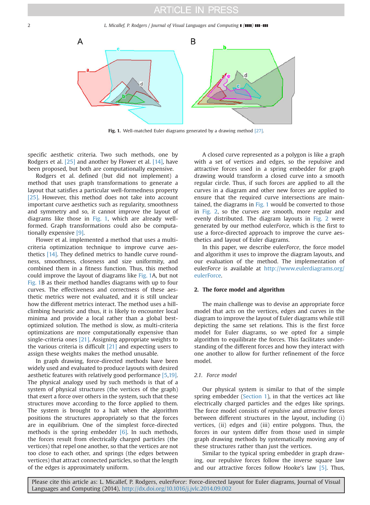<span id="page-2-0"></span>2 *L. Micallef, P. Rodgers / Journal of Visual Languages and Computing [* $\overline{})$ *]* 



Fig. 1. Well-matched Euler diagrams generated by a drawing method [\[27\].](#page-10-0)

specific aesthetic criteria. Two such methods, one by Rodgers et al. [\[25\]](#page-10-0) and another by Flower et al. [\[14\],](#page-10-0) have been proposed, but both are computationally expensive.

Rodgers et al. defined (but did not implement) a method that uses graph transformations to generate a layout that satisfies a particular well-formedness property [\[25\]](#page-10-0). However, this method does not take into account important curve aesthetics such as regularity, smoothness and symmetry and so, it cannot improve the layout of diagrams like those in [Fig. 1](#page-1-0), which are already wellformed. Graph transformations could also be computationally expensive [\[9\].](#page-10-0)

Flower et al. implemented a method that uses a multicriteria optimization technique to improve curve aesthetics [\[14\].](#page-10-0) They defined metrics to handle curve roundness, smoothness, closeness and size uniformity, and combined them in a fitness function. Thus, this method could improve the layout of diagrams like [Fig. 1A](#page-1-0), but not [Fig. 1B](#page-1-0) as their method handles diagrams with up to four curves. The effectiveness and correctness of these aesthetic metrics were not evaluated, and it is still unclear how the different metrics interact. The method uses a hillclimbing heuristic and thus, it is likely to encounter local minima and provide a local rather than a global bestoptimized solution. The method is slow, as multi-criteria optimizations are more computationally expensive than single-criteria ones [\[21\]](#page-10-0). Assigning appropriate weights to the various criteria is difficult [\[21\]](#page-10-0) and expecting users to assign these weights makes the method unusable.

In graph drawing, force-directed methods have been widely used and evaluated to produce layouts with desired aesthetic features with relatively good performance [\[5,19\]](#page-10-0). The physical analogy used by such methods is that of a system of physical structures (the vertices of the graph) that exert a force over others in the system, such that these structures move according to the force applied to them. The system is brought to a halt when the algorithm positions the structures appropriately so that the forces are in equilibrium. One of the simplest force-directed methods is the spring embedder [\[6\]](#page-10-0). In such methods, the forces result from electrically charged particles (the vertices) that repel one another, so that the vertices are not too close to each other, and springs (the edges between vertices) that attract connected particles, so that the length of the edges is approximately uniform.

A closed curve represented as a polygon is like a graph with a set of vertices and edges, so the repulsive and attractive forces used in a spring embedder for graph drawing would transform a closed curve into a smooth regular circle. Thus, if such forces are applied to all the curves in a diagram and other new forces are applied to ensure that the required curve intersections are maintained, the diagrams in [Fig. 1](#page-1-0) would be converted to those in Fig. 2, so the curves are smooth, more regular and evenly distributed. The diagram layouts in Fig. 2 were generated by our method euler*Force*, which is the first to use a force-directed approach to improve the curve aesthetics and layout of Euler diagrams.

In this paper, we describe euler*Force*, the force model and algorithm it uses to improve the diagram layouts, and our evaluation of the method. The implementation of euler*Force* is available at [http://www.eulerdiagrams.org/](http://www.eulerdiagrams.org/eulerForce) [eulerForce](http://www.eulerdiagrams.org/eulerForce).

#### 2. The force model and algorithm

The main challenge was to devise an appropriate force model that acts on the vertices, edges and curves in the diagram to improve the layout of Euler diagrams while still depicting the same set relations. This is the first force model for Euler diagrams, so we opted for a simple algorithm to equilibrate the forces. This facilitates understanding of the different forces and how they interact with one another to allow for further refinement of the force model.

#### *2.1. Force model*

Our physical system is similar to that of the simple spring embedder ([Section 1](#page-0-0)), in that the vertices act like electrically charged particles and the edges like springs. The force model consists of *repulsive* and *attractive* forces between different structures in the layout, including (i) vertices, (ii) edges and (iii) entire polygons. Thus, the forces in our system differ from those used in simple graph drawing methods by systematically moving any of these structures rather than just the vertices.

Similar to the typical spring embedder in graph drawing, our repulsive forces follow the inverse square law and our attractive forces follow Hooke's law [\[5\].](#page-10-0) Thus,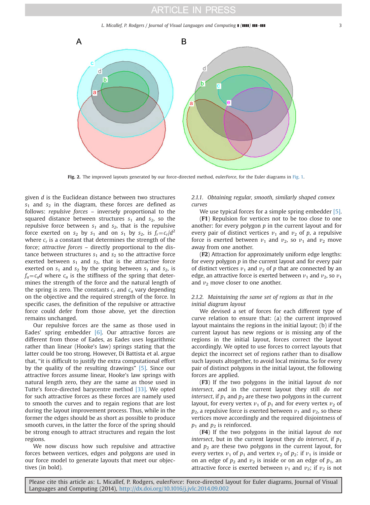*L. Micallef, P. Rodgers / Journal of Visual Languages and Computing* **[(1111) 111-111**  $\blacksquare$ 



Fig. 2. The improved layouts generated by our force-directed method, euler*Force*, for the Euler diagrams in [Fig. 1.](#page-1-0)

given *d* is the Euclidean distance between two structures *s*<sup>1</sup> and *s*<sup>2</sup> in the diagram, these forces are defined as follows: *repulsive forces* – inversely proportional to the squared distance between structures  $s_1$  and  $s_2$ , so the repulsive force between *s<sup>1</sup>* and *s2*, that is the repulsive force exerted on  $s_2$  by  $s_1$  and on  $s_1$  by  $s_2$ , is  $f_r = c_r/d^2$ where *c<sup>r</sup>* is a constant that determines the strength of the force; *attractive forces* – directly proportional to the distance between structures  $s_1$  and  $s_2$  so the attractive force exerted between  $s_1$  and  $s_2$ , that is the attractive force exerted on  $s_1$  and  $s_2$  by the spring between  $s_1$  and  $s_2$ , is  $f_a = c_a d$  where  $c_a$  is the stiffness of the spring that determines the strength of the force and the natural length of the spring is zero. The constants  $c_r$  and  $c_q$  vary depending on the objective and the required strength of the force. In specific cases, the definition of the repulsive or attractive force could defer from those above, yet the direction remains unchanged.

Our repulsive forces are the same as those used in Eades' spring embedder [\[6\].](#page-10-0) Our attractive forces are different from those of Eades, as Eades uses logarithmic rather than linear (Hooke's law) springs stating that the latter could be too strong. However, Di Battista et al. argue that, "it is difficult to justify the extra computational effort by the quality of the resulting drawings" [\[5\]](#page-10-0). Since our attractive forces assume linear, Hooke's law springs with natural length zero, they are the same as those used in Tutte's force-directed barycentre method [\[33\].](#page-10-0) We opted for such attractive forces as these forces are namely used to smooth the curves and to regain regions that are lost during the layout improvement process. Thus, while in the former the edges should be as short as possible to produce smooth curves, in the latter the force of the spring should be strong enough to attract structures and regain the lost regions.

We now discuss how such repulsive and attractive forces between vertices, edges and polygons are used in our force model to generate layouts that meet our objectives (in bold).

*2.1.1. Obtaining regular, smooth, similarly shaped convex curves*

We use typical forces for a simple spring embedder [\[5\]](#page-10-0).

(F1) Repulsion for vertices not to be too close to one another: for every polygon *p* in the current layout and for every pair of distinct vertices  $v_1$  and  $v_2$  of p, a repulsive force is exerted between  $v_1$  and  $v_2$ , so  $v_1$  and  $v_2$  move away from one another.

(F2) Attraction for approximately uniform edge lengths: for every polygon *p* in the current layout and for every pair of distinct vertices  $v_1$  and  $v_2$  of  $p$  that are connected by an edge, an attractive force is exerted between  $v_1$  and  $v_2$ , so  $v_1$ and  $v_2$  move closer to one another.

#### *2.1.2. Maintaining the same set of regions as that in the initial diagram layout*

We devised a set of forces for each different type of curve relation to ensure that: (a) the current improved layout maintains the regions in the initial layout; (b) if the current layout has new regions or is missing any of the regions in the initial layout, forces correct the layout accordingly. We opted to use forces to correct layouts that depict the incorrect set of regions rather than to disallow such layouts altogether, to avoid local minima. So for every pair of distinct polygons in the initial layout, the following forces are applied.

(F3) If the two polygons in the initial layout *do not intersect*, and in the current layout they still *do not intersect*, if  $p_1$  and  $p_2$  are these two polygons in the current layout, for every vertex  $v_1$  of  $p_1$  and for every vertex  $v_2$  of  $p_2$ , a repulsive force is exerted between  $v_1$  and  $v_2$ , so these vertices move accordingly and the required disjointness of  $p_1$  and  $p_2$  is reinforced.

(F4) If the two polygons in the initial layout *do not intersect*, but in the current layout they *do intersect*, if  $p_1$ and  $p_2$  are these two polygons in the current layout, for every vertex  $v_1$  of  $p_1$  and vertex  $v_2$  of  $p_2$ : if  $v_1$  is inside or on an edge of  $p_2$  and  $v_2$  is inside or on an edge of  $p_1$ , an attractive force is exerted between  $v_1$  and  $v_2$ ; if  $v_2$  is not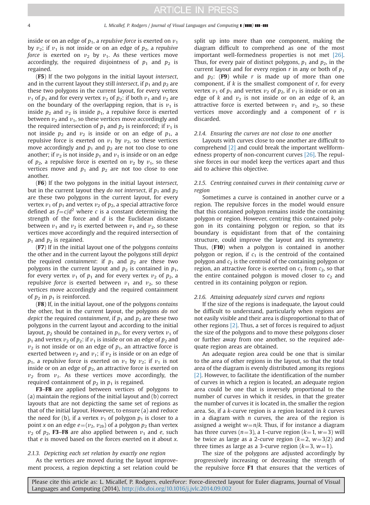<span id="page-4-0"></span>inside or on an edge of  $p_1$ , a *repulsive force* is exerted on  $v_1$ by  $v_2$ ; if  $v_1$  is not inside or on an edge of  $p_2$ , a *repulsive force* is exerted on  $v_2$  by  $v_1$ . As these vertices move accordingly, the required disjointness of  $p_1$  and  $p_2$  is regained.

(F5) If the two polygons in the initial layout *intersect*, and in the current layout they still *intersect*, if  $p_1$  and  $p_2$  are these two polygons in the current layout, for every vertex  $v_1$  of  $p_1$  and for every vertex  $v_2$  of  $p_2$ : if both  $v_1$  and  $v_2$  are on the boundary of the overlapping region, that is  $v_1$  is inside  $p_2$  and  $v_2$  is inside  $p_1$ , a repulsive force is exerted between  $v_2$  and  $v_1$ , so these vertices move accordingly and the required intersection of  $p_1$  and  $p_2$  is reinforced; if  $v_1$  is not inside  $p_2$  and  $v_2$  is inside or on an edge of  $p_1$ , a repulsive force is exerted on  $v_1$  by  $v_2$ , so these vertices move accordingly and  $p_1$  and  $p_2$  are not too close to one another; if  $v_2$  is not inside  $p_1$  and  $v_1$  is inside or on an edge of  $p_2$ , a repulsive force is exerted on  $v_2$  by  $v_1$ , so these vertices move and  $p_1$  and  $p_2$  are not too close to one another.

(F6) If the two polygons in the initial layout *intersect,* but in the current layout they *do not intersect*, if  $p_1$  and  $p_2$ are these two polygons in the current layout, for every vertex  $v_1$  of  $p_1$  and vertex  $v_2$  of  $p_2$ , a special attractive force defined as  $f = c/d^2$  where *c* is a constant determining the strength of the force and *d* is the Euclidean distance between  $v_1$  and  $v_2$  is exerted between  $v_1$  and  $v_2$ , so these vertices move accordingly and the required intersection of  $p_1$  and  $p_2$  is regained.

(F7) If in the initial layout one of the polygons *contains* the other and in the current layout the polygons still *depict* the required *containment*: if  $p_1$  and  $p_2$  are these two polygons in the current layout and  $p_2$  is contained in  $p_1$ , for every vertex  $v_1$  of  $p_1$  and for every vertex  $v_2$  of  $p_2$ , a repulsive *force* is exerted between  $v_1$  and  $v_2$ , so these vertices move accordingly and the required containment of  $p_2$  in  $p_1$  is reinforced.

(F8) If, in the initial layout, one of the polygons *contains* the other, but in the current layout, the polygons *do not depict* the required *containment*, if  $p_1$  and  $p_2$  are these two polygons in the current layout and according to the initial layout,  $p_2$  should be contained in  $p_1$ , for every vertex  $v_1$  of  $p_1$  and vertex  $v_2$  of  $p_2$ : if  $v_1$  is inside or on an edge of  $p_2$  and  $v_2$  is not inside or on an edge of  $p_1$ , an attractive force is exerted between  $v_2$  and  $v_1$ ; if  $v_2$  is inside or on an edge of  $p_1$ , a repulsive force is exerted on  $v_1$  by  $v_2$ ; if  $v_1$  is not inside or on an edge of  $p_2$ , an attractive force is exerted on  $v_2$  from  $v_1$ . As these vertices move accordingly, the required containment of  $p_2$  in  $p_1$  is regained.

F3-F8 are applied between vertices of polygons to (a) maintain the regions of the initial layout and (b) correct layouts that are not depicting the same set of regions as that of the initial layout. However, to ensure (a) and reduce the need for (b), if a vertex  $v_1$  of polygon  $p_1$  is closer to a point *x* on an edge  $e=(v_2, v_{2b})$  of a polygon  $p_2$  than vertex  $v_2$  of  $p_2$ , **F3–F8** are also applied between  $v_1$  and *e*, such that *e* is moved based on the forces exerted on it about *x*.

#### *2.1.3. Depicting each set relation by exactly one region*

As the vertices are moved during the layout improvement process, a region depicting a set relation could be split up into more than one component, making the diagram difficult to comprehend as one of the most important well-formedness properties is not met [\[26\]](#page-10-0). Thus, for every pair of distinct polygons,  $p_1$  and  $p_2$ , in the current layout and for every region  $r$  in any or both of  $p_1$ and  $p_2$ : (F9) while  $r$  is made up of more than one component, if *k* is the smallest component of *r*, for every vertex  $v_1$  of  $p_1$  and vertex  $v_2$  of  $p_2$ , if  $v_1$  is inside or on an edge of  $k$  and  $v_2$  is not inside or on an edge of  $k$ , an attractive force is exerted between  $v_1$  and  $v_2$ , so these vertices move accordingly and a component of *r* is discarded.

#### *2.1.4. Ensuring the curves are not close to one another*

Layouts with curves close to one another are difficult to comprehend [\[2\]](#page-10-0) and could break the important wellformedness property of non-concurrent curves [\[26\]](#page-10-0). The repulsive forces in our model keep the vertices apart and thus aid to achieve this objective.

#### *2.1.5. Centring contained curves in their containing curve or region*

Sometimes a curve is contained in another curve or a region. The repulsive forces in the model would ensure that this contained polygon remains inside the containing polygon or region. However, centring this contained polygon in its containing polygon or region, so that its boundary is equidistant from that of the containing structure, could improve the layout and its symmetry. Thus, (F10) when a polygon is contained in another polygon or region, if  $c_1$  is the centroid of the contained polygon and *c*<sup>2</sup> is the centroid of the containing polygon or region, an attractive force is exerted on  $c_1$  from  $c_2$ , so that the entire contained polygon is moved closer to  $c<sub>2</sub>$  and centred in its containing polygon or region.

#### *2.1.6. Attaining adequately sized curves and regions*

If the size of the regions is inadequate, the layout could be difficult to understand, particularly when regions are not easily visible and their area is disproportional to that of other regions [\[2\]](#page-10-0). Thus, a set of forces is required to adjust the size of the polygons and to move these polygons closer or further away from one another, so the required adequate region areas are obtained.

An adequate region area could be one that is similar to the area of other regions in the layout, so that the total area of the diagram is evenly distributed among its regions [\[2\].](#page-10-0) However, to facilitate the identification of the number of curves in which a region is located, an adequate region area could be one that is inversely proportional to the number of curves in which it resides, in that the greater the number of curves it is located in, the smaller the region area. So, if a *k*-curve region is a region located in *k* curves in a diagram with *n* curves, the area of the region is assigned a weight  $w=n/k$ . Thus, if for instance a diagram has three curves  $(n=3)$ , a 1-curve region  $(k=1, w=3)$  will be twice as large as a 2-curve region  $(k=2, w=3/2)$  and three times as large as a 3-curve region  $(k=3, w=1)$ .

The size of the polygons are adjusted accordingly by progressively increasing or decreasing the strength of the repulsive force F1 that ensures that the vertices of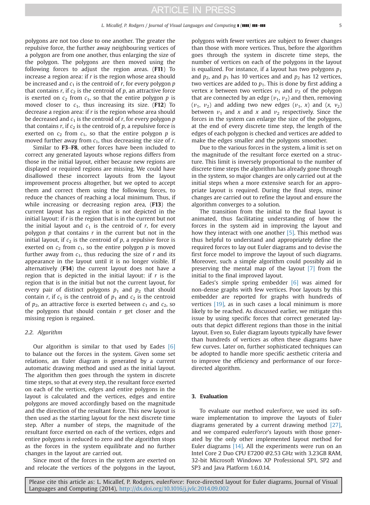polygons are not too close to one another. The greater the repulsive force, the further away neighbouring vertices of a polygon are from one another, thus enlarging the size of the polygon. The polygons are then moved using the following forces to adjust the region areas. (F11) To increase a region area: if *r* is the region whose area should be increased and *c*<sup>1</sup> is the centroid of *r*, for every polygon *p* that contains  $r$ , if  $c_2$  is the centroid of  $p$ , an attractive force is exerted on  $c_2$  from  $c_1$ , so that the entire polygon  $p$  is moved closer to  $c_1$ , thus increasing its size. (F12) To decrease a region area: if *r* is the region whose area should be decreased and  $c_1$  is the centroid of  $r$ , for every polygon  $p$ that contains  $r$ , if  $c_2$  is the centroid of  $p$ , a repulsive force is exerted on  $c_2$  from  $c_1$ , so that the entire polygon  $p$  is moved further away from  $c_1$ , thus decreasing the size of *r*.

Similar to F3–F8, other forces have been included to correct any generated layouts whose regions differs from those in the initial layout, either because new regions are displayed or required regions are missing. We could have disallowed these incorrect layouts from the layout improvement process altogether, but we opted to accept them and correct them using the following forces, to reduce the chances of reaching a local minimum. Thus, if while increasing or decreasing region area, (F13) the current layout has a region that is not depicted in the initial layout: if *r* is the region that is in the current but not the initial layout and  $c_1$  is the centroid of  $r$ , for every polygon *p* that contains *r* in the current but not in the initial layout, if  $c_2$  is the centroid of  $p$ , a repulsive force is exerted on  $c_2$  from  $c_1$ , so the entire polygon  $p$  is moved further away from  $c_1$ , thus reducing the size of  $r$  and its appearance in the layout until it is no longer visible. If alternatively (F14) the current layout does not have a region that is depicted in the initial layout: if *r* is the region that is in the initial but not the current layout, for every pair of distinct polygons  $p_1$  and  $p_2$  that should contain *r*, if  $c_1$  is the centroid of  $p_1$  and  $c_2$  is the centroid of  $p_2$ , an attractive force is exerted between  $c_1$  and  $c_2$ , so the polygons that should contain *r* get closer and the missing region is regained.

#### *2.2. Algorithm*

Our algorithm is similar to that used by Eades [\[6\]](#page-10-0) to balance out the forces in the system. Given some set relations, an Euler diagram is generated by a current automatic drawing method and used as the initial layout. The algorithm then goes through the system in discrete time steps, so that at every step, the resultant force exerted on each of the vertices, edges and entire polygons in the layout is calculated and the vertices, edges and entire polygons are moved accordingly based on the magnitude and the direction of the resultant force. This new layout is then used as the starting layout for the next discrete time step. After a number of steps, the magnitude of the resultant force exerted on each of the vertices, edges and entire polygons is reduced to zero and the algorithm stops as the forces in the system equilibrate and no further changes in the layout are carried out.

Since most of the forces in the system are exerted on and relocate the vertices of the polygons in the layout, polygons with fewer vertices are subject to fewer changes than those with more vertices. Thus, before the algorithm goes through the system in discrete time steps, the number of vertices on each of the polygons in the layout is equalized. For instance, if a layout has two polygons  $p_1$ and  $p_2$ , and  $p_1$  has 10 vertices and and  $p_2$  has 12 vertices, two vertices are added to  $p_1$ . This is done by first adding a vertex *x* between two vertices  $v_1$  and  $v_2$  of the polygon that are connected by an edge ( $v_1$ ,  $v_2$ ) and then, removing  $(v_1, v_2)$  and adding two new edges  $(v_1, x)$  and  $(x, v_2)$ between  $v_1$  and x and x and  $v_2$  respectively. Since the forces in the system can enlarge the size of the polygons, at the end of every discrete time step, the length of the edges of each polygon is checked and vertices are added to make the edges smaller and the polygons smoother.

Due to the various forces in the system, a limit is set on the magnitude of the resultant force exerted on a structure. This limit is inversely proportional to the number of discrete time steps the algorithm has already gone through in the system, so major changes are only carried out at the initial steps when a more extensive search for an appropriate layout is required. During the final steps, minor changes are carried out to refine the layout and ensure the algorithm converges to a solution.

The transition from the initial to the final layout is animated, thus facilitating understanding of how the forces in the system aid in improving the layout and how they interact with one another  $[5]$ . This method was thus helpful to understand and appropriately define the required forces to lay out Euler diagrams and to devise the first force model to improve the layout of such diagrams. Moreover, such a simple algorithm could possibly aid in preserving the mental map of the layout [\[7\]](#page-10-0) from the initial to the final improved layout.

Eades's simple spring embedder  $[6]$  was aimed for non-dense graphs with few vertices. Poor layouts by this embedder are reported for graphs with hundreds of vertices [\[19\],](#page-10-0) as in such cases a local minimum is more likely to be reached. As discussed earlier, we mitigate this issue by using specific forces that correct generated layouts that depict different regions than those in the initial layout. Even so, Euler diagram layouts typically have fewer than hundreds of vertices as often these diagrams have few curves. Later on, further sophisticated techniques can be adopted to handle more specific aesthetic criteria and to improve the efficiency and performance of our forcedirected algorithm.

#### 3. Evaluation

To evaluate our method euler*Force*, we used its software implementation to improve the layouts of Euler diagrams generated by a current drawing method [\[27\]](#page-10-0), and we compared euler*Force*'s layouts with those generated by the only other implemented layout method for Euler diagrams [\[14\].](#page-10-0) All the experiments were run on an Intel Core 2 Duo CPU E7200 @2.53 GHz with 3.23GB RAM, 32-bit Microsoft Windows XP Professional SP1, SP2 and SP3 and Java Platform 1.6.0.14.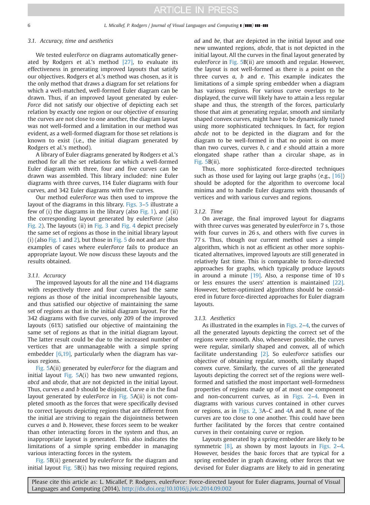#### <span id="page-6-0"></span>*3.1. Accuracy, time and aesthetics*

We tested euler*Force* on diagrams automatically generated by Rodgers et al.'s method [\[27\]](#page-10-0), to evaluate its effectiveness in generating improved layouts that satisfy our objectives. Rodgers et al.'s method was chosen, as it is the only method that draws a diagram for set relations for which a well-matched, well-formed Euler diagram can be drawn. Thus, if an improved layout generated by euler-*Force* did not satisfy our objective of depicting each set relation by exactly one region or our objective of ensuring the curves are not close to one another, the diagram layout was not well-formed and a limitation in our method was evident, as a well-formed diagram for those set relations is known to exist (i.e., the initial diagram generated by Rodgers et al.'s method).

A library of Euler diagrams generated by Rodgers et al.'s method for all the set relations for which a well-formed Euler diagram with three, four and five curves can be drawn was assembled. This library included: nine Euler diagrams with three curves, 114 Euler diagrams with four curves, and 342 Euler diagrams with five curves.

Our method euler*Force* was then used to improve the layout of the diagrams in this library. Figs. 3–[5](#page-8-0) illustrate a few of (i) the diagrams in the library (also [Fig. 1](#page-1-0)), and (ii) the corresponding layout generated by euler*Force* (also [Fig. 2](#page-2-0)). The layouts (ii) in Fig. 3 and [Fig. 4](#page-7-0) depict precisely the same set of regions as those in the initial library layout (i) (also [Fig. 1](#page-1-0) and [2](#page-2-0)), but those in [Fig. 5](#page-8-0) do not and are thus examples of cases where euler*Force* fails to produce an appropriate layout. We now discuss these layouts and the results obtained.

#### *3.1.1. Accuracy*

The improved layouts for all the nine and 114 diagrams with respectively three and four curves had the same regions as those of the initial incomprehensible layouts, and thus satisfied our objective of maintaining the same set of regions as that in the initial diagram layout. For the 342 diagrams with five curves, only 209 of the improved layouts (61%) satisfied our objective of maintaining the same set of regions as that in the initial diagram layout. The latter result could be due to the increased number of vertices that are unmanageable with a simple spring embedder  $[6,19]$ , particularly when the diagram has various regions.

[Fig. 5](#page-8-0)A(ii) generated by euler*Force* for the diagram and initial layout [Fig. 5](#page-8-0)A(i) has two new unwanted regions, *abcd* and *abcde*, that are not depicted in the initial layout. Thus, curves *a* and *b* should be disjoint. Curve *a* in the final layout generated by euler*Force* in [Fig. 5A](#page-8-0)(ii) is not completed smooth as the forces that were specifically devised to correct layouts depicting regions that are different from the initial are striving to regain the disjointness between curves *a* and *b*. However, these forces seem to be weaker than other interacting forces in the system and thus, an inappropriate layout is generated. This also indicates the limitations of a simple spring embedder in managing various interacting forces in the system.

[Fig. 5](#page-8-0)B(ii) generated by euler*Force* for the diagram and initial layout [Fig. 5B](#page-8-0)(i) has two missing required regions, *ad* and *be*, that are depicted in the initial layout and one new unwanted regions, *abcde*, that is not depicted in the initial layout. All the curves in the final layout generated by euler*Force* in [Fig. 5](#page-8-0)B(ii) are smooth and regular. However, the layout is not well-formed as there is a point on the three curves *a*, *b* and *e*. This example indicates the limitations of a simple spring embedder when a diagram has various regions. For various curve overlaps to be displayed, the curve will likely have to attain a less regular shape and thus, the strength of the forces, particularly those that aim at generating regular, smooth and similarly shaped convex curves, might have to be dynamically tuned using more sophisticated techniques. In fact, for region *abcde* not to be depicted in the diagram and for the diagram to be well-formed in that no point is on more than two curves, curves *b*, *c* and *e* should attain a more elongated shape rather than a circular shape, as in [Fig. 5](#page-8-0)B(ii).

Thus, more sophisticated force-directed techniques such as those used for laying out large graphs (e.g., [\[16\]](#page-10-0)) should be adopted for the algorithm to overcome local minima and to handle Euler diagrams with thousands of vertices and with various curves and regions.

#### *3.1.2. Time*

On average, the final improved layout for diagrams with three curves was generated by euler*Force* in 7 s, those with four curves in 26 s, and others with five curves in 77 s. Thus, though our current method uses a simple algorithm, which is not as efficient as other more sophisticated alternatives, improved layouts are still generated in relatively fast time. This is comparable to force-directed approaches for graphs, which typically produce layouts in around a minute [\[19\].](#page-10-0) Also, a response time of 10 s or less ensures the users' attention is maintained [\[22\]](#page-10-0). However, better-optimized algorithms should be considered in future force-directed approaches for Euler diagram layouts.

#### *3.1.3. Aesthetics*

As illustrated in the examples in [Figs. 2](#page-2-0)–[4](#page-7-0), the curves of all the generated layouts depicting the correct set of the regions were smooth. Also, whenever possible, the curves were regular, similarly shaped and convex, all of which facilitate understanding [\[2\]](#page-10-0). So euler*Force* satisfies our objective of obtaining regular, smooth, similarly shaped convex curve. Similarly, the curves of all the generated layouts depicting the correct set of the regions were wellformed and satisfied the most important well-formedness properties of regions made up of at most one component and non-concurrent curves, as in [Figs. 2](#page-2-0)–[4](#page-7-0). Even in diagrams with various curves contained in other curves or regions, as in [Figs. 2,](#page-2-0) 3A–C and [4](#page-7-0)A and B, none of the curves are too close to one another. This could have been further facilitated by the forces that centre contained curves in their containing curve or region.

Layouts generated by a spring embedder are likely to be symmetric  $[8]$ , as shown by most layouts in [Figs. 2](#page-2-0)–[4](#page-7-0). However, besides the basic forces that are typical for a spring embedder in graph drawing, other forces that we devised for Euler diagrams are likely to aid in generating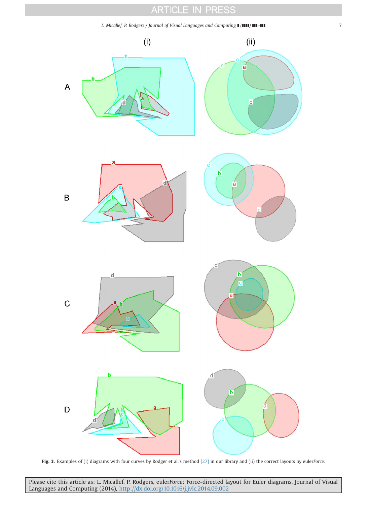*L. Micallef, P. Rodgers / Journal of Visual Languages and Computing* **[ (1111) 111-111 7 7** 

<span id="page-7-0"></span>

Fig. 3. Examples of (i) diagrams with four curves by Rodger et al.'s method [\[27\]](#page-10-0) in our library and (ii) the correct layouts by euler*Force*.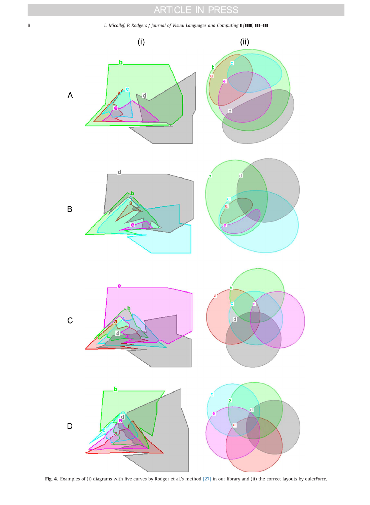<span id="page-8-0"></span>8 *L. Micallef, P. Rodgers / Journal of Visual Languages and Computing*  $\blacksquare$  ( $\blacksquare$ )  $\blacksquare$ 



Fig. 4. Examples of (i) diagrams with five curves by Rodger et al.'s method [\[27\]](#page-10-0) in our library and (ii) the correct layouts by euler*Force*.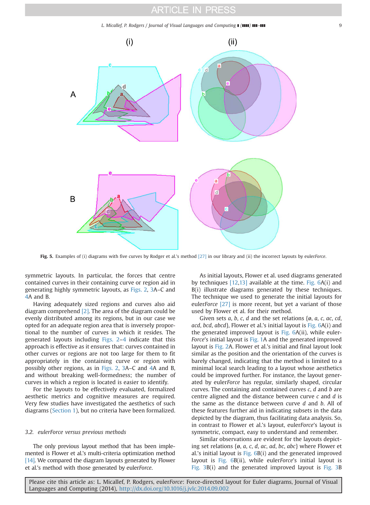*L. Micallef, P. Rodgers / Journal of Visual Languages and Computing* **[(1111) 111-111**  $\qquad \qquad \qquad$ 9

<span id="page-9-0"></span>

Fig. 5. Examples of (i) diagrams with five curves by Rodger et al.'s method [\[27\]](#page-10-0) in our library and (ii) the incorrect layouts by euler*Force*.

symmetric layouts. In particular, the forces that centre contained curves in their containing curve or region aid in generating highly symmetric layouts, as [Figs. 2](#page-2-0), [3A](#page-6-0)–C and [4A](#page-7-0) and B.

Having adequately sized regions and curves also aid diagram comprehend [\[2\].](#page-10-0) The area of the diagram could be evenly distributed among its regions, but in our case we opted for an adequate region area that is inversely proportional to the number of curves in which it resides. The generated layouts including [Figs. 2](#page-2-0)–[4](#page-7-0) indicate that this approach is effective as it ensures that: curves contained in other curves or regions are not too large for them to fit appropriately in the containing curve or region with possibly other regions, as in [Figs. 2](#page-2-0), [3](#page-6-0)A–C and [4A](#page-7-0) and B, and without breaking well-formedness; the number of curves in which a region is located is easier to identify.

For the layouts to be effectively evaluated, formalized aesthetic metrics and cognitive measures are required. Very few studies have investigated the aesthetics of such diagrams ([Section 1\)](#page-0-0), but no criteria have been formalized.

#### *3.2. eulerForce versus previous methods*

The only previous layout method that has been implemented is Flower et al.'s multi-criteria optimization method [\[14\].](#page-10-0) We compared the diagram layouts generated by Flower et al.'s method with those generated by euler*Force*.

As initial layouts, Flower et al. used diagrams generated by techniques [\[12,13\]](#page-10-0) available at the time. Fig. 6A(i) and B(i) illustrate diagrams generated by these techniques. The technique we used to generate the initial layouts for euler*Force* [\[27\]](#page-10-0) is more recent, but yet a variant of those used by Flower et al. for their method.

Given sets *a*, *b*, *c*, *d* and the set relations {ø, *a*, *c*, *ac*, *cd*, *acd*, *bcd*, *abcd*}, Flower et al.'s initial layout is Fig. 6A(i) and the generated improved layout is Fig. 6A(ii), while euler-*Force*'s initial layout is [Fig. 1](#page-1-0)A and the generated improved layout is [Fig. 2](#page-2-0)A. Flower et al.'s initial and final layout look similar as the position and the orientation of the curves is barely changed, indicating that the method is limited to a minimal local search leading to a layout whose aesthetics could be improved further. For instance, the layout generated by euler*Force* has regular, similarly shaped, circular curves. The containing and contained curves *c*, *d* and *b* are centre aligned and the distance between curve *c* and *d* is the same as the distance between curve *d* and *b*. All of these features further aid in indicating subsets in the data depicted by the diagram, thus facilitating data analysis. So, in contrast to Flower et al.'s layout, euler*Force*'s layout is symmetric, compact, easy to understand and remember.

Similar observations are evident for the layouts depicting set relations {ø, *a*, *c*, *d*, *ac*, *ad*, *bc*, *abc*} where Flower et al.'s initial layout is Fig. 6B(i) and the generated improved layout is Fig. 6B(ii), while euler*Force*'s initial layout is [Fig. 3B](#page-6-0)(i) and the generated improved layout is [Fig. 3](#page-6-0)B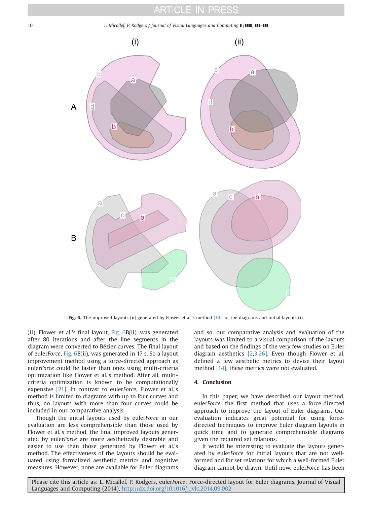<span id="page-10-0"></span>10 *L. Micallef, P. Rodgers / Journal of Visual Languages and Computing* $\blacksquare$  **(<b>1111**)  $\blacksquare$ 



Fig. 6. The improved layouts (ii) generated by Flower et al.'s method [14] for the diagrams and initial layouts (i).

(ii). Flower et al.'s final layout, [Fig. 6B](#page-9-0)(ii), was generated after 80 iterations and after the line segments in the diagram were converted to Bézier curves. The final layout of euler*Force*, [Fig. 6B](#page-9-0)(ii), was generated in 17 s. So a layout improvement method using a force-directed approach as euler*Force* could be faster than ones using multi-criteria optimization like Flower et al.'s method. After all, multicriteria optimization is known to be computationally expensive [21]. In contrast to euler*Force*, Flower et al.'s method is limited to diagrams with up to four curves and thus, no layouts with more than four curves could be included in our comparative analysis.

Though the initial layouts used by euler*Force* in our evaluation are less comprehensible than those used by Flower et al.'s method, the final improved layouts generated by euler*Force* are more aesthetically desirable and easier to use than those generated by Flower et al.'s method. The effectiveness of the layouts should be evaluated using formalized aesthetic metrics and cognitive measures. However, none are available for Euler diagrams and so, our comparative analysis and evaluation of the layouts was limited to a visual comparison of the layouts and based on the findings of the very few studies on Euler diagram aesthetics [2,3,26]. Even though Flower et al. defined a few aesthetic metrics to devise their layout method [14], these metrics were not evaluated.

#### 4. Conclusion

In this paper, we have described our layout method, euler*Force*, the first method that uses a force-directed approach to improve the layout of Euler diagrams. Our evaluation indicates great potential for using forcedirected techniques to improve Euler diagram layouts in quick time and to generate comprehensible diagrams given the required set relations.

It would be interesting to evaluate the layouts generated by euler*Force* for initial layouts that are not wellformed and for set relations for which a well-formed Euler diagram cannot be drawn. Until now, euler*Force* has been